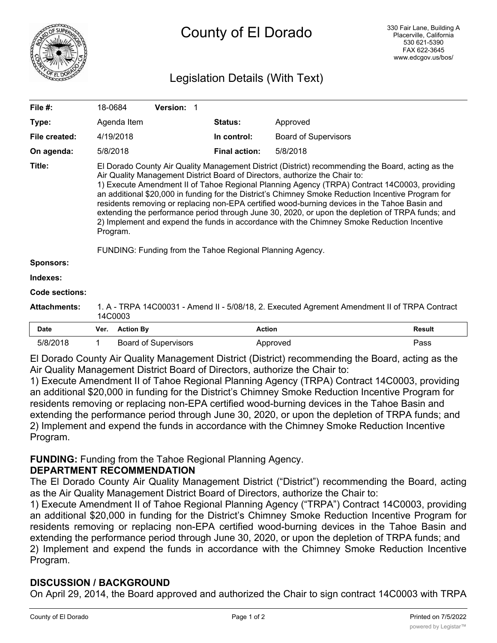

# Legislation Details (With Text)

| File #:               | 18-0684                                                                                                                                                                                                                                                                                                                                                                                                                                                                                                                                                                                                                                                                                                                                                            |                  | Version: 1                  |  |                      |                             |               |
|-----------------------|--------------------------------------------------------------------------------------------------------------------------------------------------------------------------------------------------------------------------------------------------------------------------------------------------------------------------------------------------------------------------------------------------------------------------------------------------------------------------------------------------------------------------------------------------------------------------------------------------------------------------------------------------------------------------------------------------------------------------------------------------------------------|------------------|-----------------------------|--|----------------------|-----------------------------|---------------|
| Type:                 |                                                                                                                                                                                                                                                                                                                                                                                                                                                                                                                                                                                                                                                                                                                                                                    | Agenda Item      |                             |  | <b>Status:</b>       | Approved                    |               |
| File created:         |                                                                                                                                                                                                                                                                                                                                                                                                                                                                                                                                                                                                                                                                                                                                                                    | 4/19/2018        |                             |  | In control:          | <b>Board of Supervisors</b> |               |
| On agenda:            | 5/8/2018                                                                                                                                                                                                                                                                                                                                                                                                                                                                                                                                                                                                                                                                                                                                                           |                  |                             |  | <b>Final action:</b> | 5/8/2018                    |               |
| Title:                | El Dorado County Air Quality Management District (District) recommending the Board, acting as the<br>Air Quality Management District Board of Directors, authorize the Chair to:<br>1) Execute Amendment II of Tahoe Regional Planning Agency (TRPA) Contract 14C0003, providing<br>an additional \$20,000 in funding for the District's Chimney Smoke Reduction Incentive Program for<br>residents removing or replacing non-EPA certified wood-burning devices in the Tahoe Basin and<br>extending the performance period through June 30, 2020, or upon the depletion of TRPA funds; and<br>2) Implement and expend the funds in accordance with the Chimney Smoke Reduction Incentive<br>Program.<br>FUNDING: Funding from the Tahoe Regional Planning Agency. |                  |                             |  |                      |                             |               |
| <b>Sponsors:</b>      |                                                                                                                                                                                                                                                                                                                                                                                                                                                                                                                                                                                                                                                                                                                                                                    |                  |                             |  |                      |                             |               |
| Indexes:              |                                                                                                                                                                                                                                                                                                                                                                                                                                                                                                                                                                                                                                                                                                                                                                    |                  |                             |  |                      |                             |               |
| <b>Code sections:</b> |                                                                                                                                                                                                                                                                                                                                                                                                                                                                                                                                                                                                                                                                                                                                                                    |                  |                             |  |                      |                             |               |
| <b>Attachments:</b>   | 1. A - TRPA 14C00031 - Amend II - 5/08/18, 2. Executed Agrement Amendment II of TRPA Contract<br>14C0003                                                                                                                                                                                                                                                                                                                                                                                                                                                                                                                                                                                                                                                           |                  |                             |  |                      |                             |               |
| <b>Date</b>           | Ver.                                                                                                                                                                                                                                                                                                                                                                                                                                                                                                                                                                                                                                                                                                                                                               | <b>Action By</b> |                             |  |                      | <b>Action</b>               | <b>Result</b> |
| 5/8/2018              | 1                                                                                                                                                                                                                                                                                                                                                                                                                                                                                                                                                                                                                                                                                                                                                                  |                  | <b>Board of Supervisors</b> |  |                      | Approved                    | Pass          |

El Dorado County Air Quality Management District (District) recommending the Board, acting as the Air Quality Management District Board of Directors, authorize the Chair to:

1) Execute Amendment II of Tahoe Regional Planning Agency (TRPA) Contract 14C0003, providing an additional \$20,000 in funding for the District's Chimney Smoke Reduction Incentive Program for residents removing or replacing non-EPA certified wood-burning devices in the Tahoe Basin and extending the performance period through June 30, 2020, or upon the depletion of TRPA funds; and 2) Implement and expend the funds in accordance with the Chimney Smoke Reduction Incentive Program.

## **FUNDING:** Funding from the Tahoe Regional Planning Agency.

## **DEPARTMENT RECOMMENDATION**

The El Dorado County Air Quality Management District ("District") recommending the Board, acting as the Air Quality Management District Board of Directors, authorize the Chair to:

1) Execute Amendment II of Tahoe Regional Planning Agency ("TRPA") Contract 14C0003, providing an additional \$20,000 in funding for the District's Chimney Smoke Reduction Incentive Program for residents removing or replacing non-EPA certified wood-burning devices in the Tahoe Basin and extending the performance period through June 30, 2020, or upon the depletion of TRPA funds; and 2) Implement and expend the funds in accordance with the Chimney Smoke Reduction Incentive Program.

## **DISCUSSION / BACKGROUND**

On April 29, 2014, the Board approved and authorized the Chair to sign contract 14C0003 with TRPA in the amount of \$53,770 to augment the District's Chimney Smoke Reduction Incentive Program by